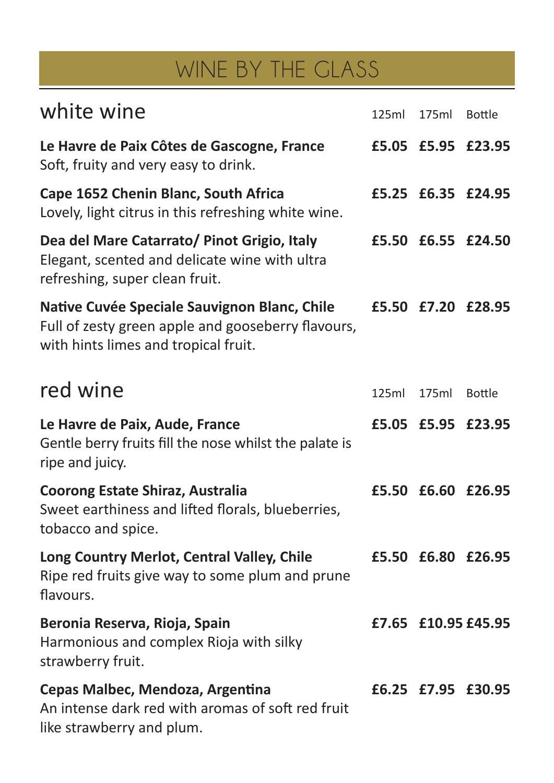## WINE BY THE GLASS

| white wine                                                                                                                                 | 125ml | 175ml | <b>Bottle</b>      |
|--------------------------------------------------------------------------------------------------------------------------------------------|-------|-------|--------------------|
| Le Havre de Paix Côtes de Gascogne, France<br>Soft, fruity and very easy to drink.                                                         | £5.05 | £5.95 | £23.95             |
| Cape 1652 Chenin Blanc, South Africa<br>Lovely, light citrus in this refreshing white wine.                                                |       |       | £5.25 £6.35 £24.95 |
| Dea del Mare Catarrato/ Pinot Grigio, Italy<br>Elegant, scented and delicate wine with ultra<br>refreshing, super clean fruit.             | £5.50 |       | £6.55 £24.50       |
| Native Cuvée Speciale Sauvignon Blanc, Chile<br>Full of zesty green apple and gooseberry flavours,<br>with hints limes and tropical fruit. | £5.50 |       | £7.20 £28.95       |
| red wine                                                                                                                                   | 125ml | 175ml | <b>Bottle</b>      |
| Le Havre de Paix, Aude, France<br>Gentle berry fruits fill the nose whilst the palate is<br>ripe and juicy.                                | £5.05 | £5.95 | £23.95             |
| <b>Coorong Estate Shiraz, Australia</b><br>Sweet earthiness and lifted florals, blueberries,<br>tobacco and spice.                         |       |       | £5.50 £6.60 £26.95 |
| Long Country Merlot, Central Valley, Chile<br>Ripe red fruits give way to some plum and prune<br>flavours.                                 | £5.50 | £6.80 | £26.95             |
| Beronia Reserva, Rioja, Spain<br>Harmonious and complex Rioja with silky<br>strawberry fruit.                                              | £7.65 |       | £10.95 £45.95      |
| Cepas Malbec, Mendoza, Argentina<br>An intense dark red with aromas of soft red fruit<br>like strawberry and plum.                         | £6.25 |       | £7.95 £30.95       |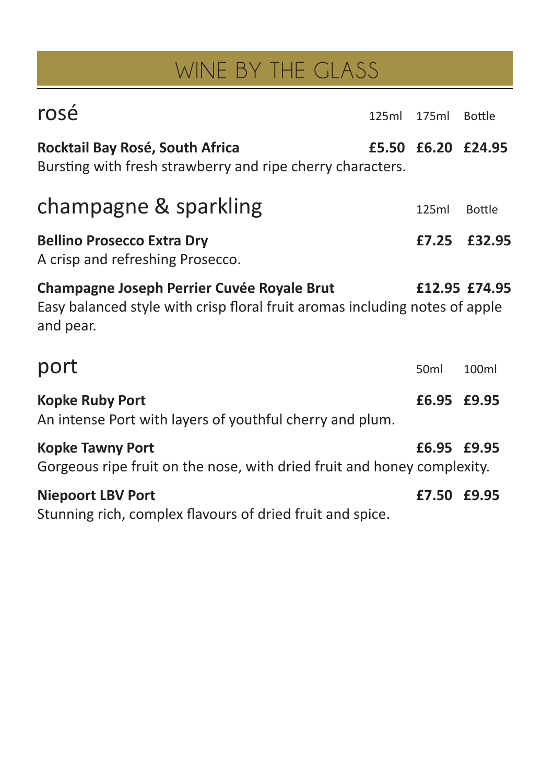## WINE BY THE GLASS

| rosé                                                                                                                                          | 125ml | 175ml            | Bottle             |
|-----------------------------------------------------------------------------------------------------------------------------------------------|-------|------------------|--------------------|
| Rocktail Bay Rosé, South Africa<br>Bursting with fresh strawberry and ripe cherry characters.                                                 |       |                  | £5.50 £6.20 £24.95 |
| champagne & sparkling                                                                                                                         |       | 125ml            | <b>Bottle</b>      |
| <b>Bellino Prosecco Extra Dry</b><br>A crisp and refreshing Prosecco.                                                                         |       | £7.25            | £32.95             |
| <b>Champagne Joseph Perrier Cuvée Royale Brut</b><br>Easy balanced style with crisp floral fruit aromas including notes of apple<br>and pear. |       |                  | £12.95 £74.95      |
| port                                                                                                                                          |       | 50 <sub>ml</sub> | 100ml              |
| <b>Kopke Ruby Port</b><br>An intense Port with layers of youthful cherry and plum.                                                            |       | £6.95 £9.95      |                    |
| <b>Kopke Tawny Port</b><br>Gorgeous ripe fruit on the nose, with dried fruit and honey complexity.                                            |       | £6.95 £9.95      |                    |
| <b>Niepoort LBV Port</b><br>Stunning rich, complex flavours of dried fruit and spice.                                                         |       | £7.50 £9.95      |                    |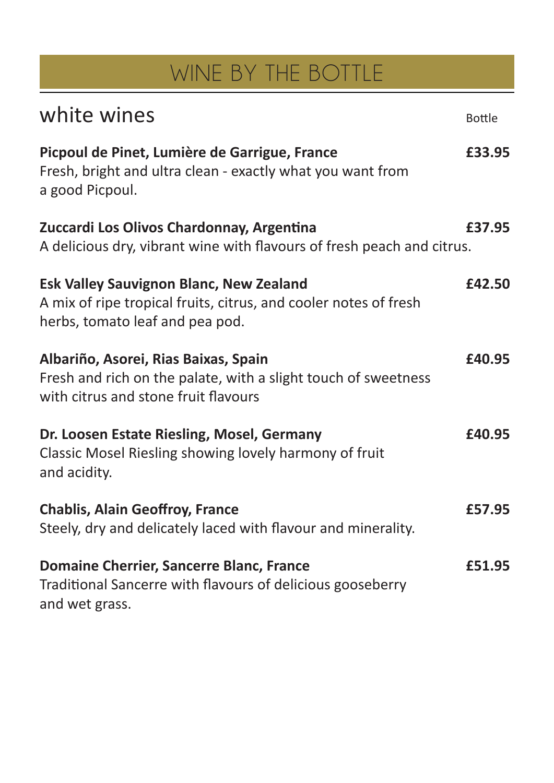# WINE BY THE BOTTLE

| white wines                                                                                                                                           | <b>Bottle</b> |
|-------------------------------------------------------------------------------------------------------------------------------------------------------|---------------|
| Picpoul de Pinet, Lumière de Garrigue, France<br>Fresh, bright and ultra clean - exactly what you want from<br>a good Picpoul.                        | £33.95        |
| Zuccardi Los Olivos Chardonnay, Argentina<br>A delicious dry, vibrant wine with flavours of fresh peach and citrus.                                   | £37.95        |
| <b>Esk Valley Sauvignon Blanc, New Zealand</b><br>A mix of ripe tropical fruits, citrus, and cooler notes of fresh<br>herbs, tomato leaf and pea pod. | £42.50        |
| Albariño, Asorei, Rias Baixas, Spain<br>Fresh and rich on the palate, with a slight touch of sweetness<br>with citrus and stone fruit flavours        | £40.95        |
| Dr. Loosen Estate Riesling, Mosel, Germany<br>Classic Mosel Riesling showing lovely harmony of fruit<br>and acidity.                                  | £40.95        |
| <b>Chablis, Alain Geoffroy, France</b><br>Steely, dry and delicately laced with flavour and minerality.                                               | £57.95        |
| <b>Domaine Cherrier, Sancerre Blanc, France</b><br>Traditional Sancerre with flavours of delicious gooseberry<br>and wet grass.                       | £51.95        |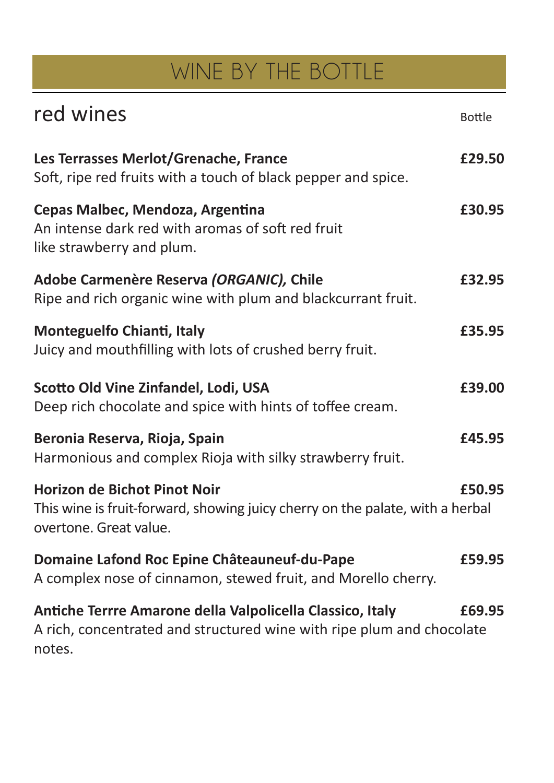# WINE BY THE BOTTLE

| red wines                                                                                                                                      | <b>Bottle</b> |
|------------------------------------------------------------------------------------------------------------------------------------------------|---------------|
| Les Terrasses Merlot/Grenache, France<br>Soft, ripe red fruits with a touch of black pepper and spice.                                         | £29.50        |
| Cepas Malbec, Mendoza, Argentina<br>An intense dark red with aromas of soft red fruit<br>like strawberry and plum.                             | £30.95        |
| Adobe Carmenère Reserva (ORGANIC), Chile<br>Ripe and rich organic wine with plum and blackcurrant fruit.                                       | £32.95        |
| <b>Monteguelfo Chianti, Italy</b><br>Juicy and mouthfilling with lots of crushed berry fruit.                                                  | £35.95        |
| Scotto Old Vine Zinfandel, Lodi, USA<br>Deep rich chocolate and spice with hints of toffee cream.                                              | £39.00        |
| Beronia Reserva, Rioja, Spain<br>Harmonious and complex Rioja with silky strawberry fruit.                                                     | £45.95        |
| <b>Horizon de Bichot Pinot Noir</b><br>This wine is fruit-forward, showing juicy cherry on the palate, with a herbal<br>overtone. Great value. | £50.95        |
| Domaine Lafond Roc Epine Châteauneuf-du-Pape<br>A complex nose of cinnamon, stewed fruit, and Morello cherry.                                  | £59.95        |
| Antiche Terrre Amarone della Valpolicella Classico, Italy<br>A rich, concentrated and structured wine with ripe plum and chocolate<br>notes.   | £69.95        |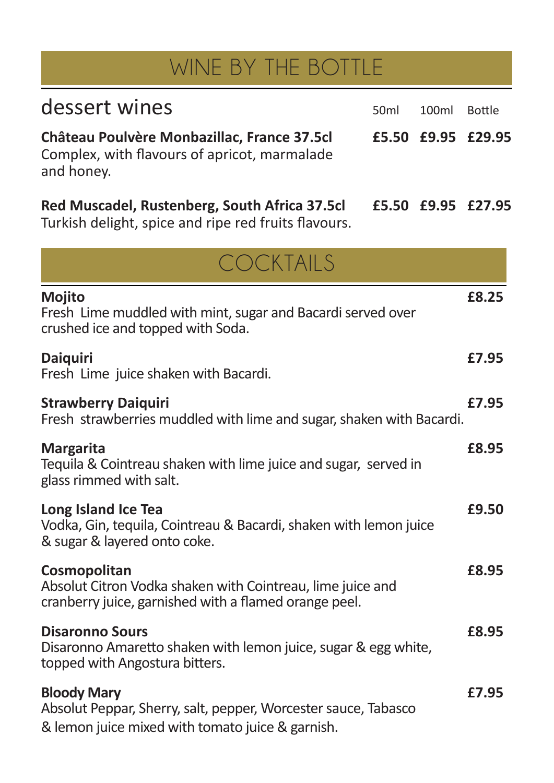## WINE BY THE BOTTLE

| dessert wines                                                                                             | 50 <sub>ml</sub> | 100ml | Bottle             |
|-----------------------------------------------------------------------------------------------------------|------------------|-------|--------------------|
| Château Poulvère Monbazillac, France 37.5cl<br>Complex, with flavours of apricot, marmalade<br>and honey. |                  |       | £5.50 £9.95 £29.95 |
| Red Muscadel, Rustenberg, South Africa 37.5cl<br>Turkish delight, spice and ripe red fruits flavours.     |                  |       | £5.50 £9.95 £27.95 |

| COCKTAILS                                                                                                                                |       |
|------------------------------------------------------------------------------------------------------------------------------------------|-------|
| <b>Mojito</b><br>Fresh Lime muddled with mint, sugar and Bacardi served over<br>crushed ice and topped with Soda.                        | £8.25 |
| <b>Daiquiri</b><br>Fresh Lime juice shaken with Bacardi.                                                                                 | £7.95 |
| <b>Strawberry Daiquiri</b><br>Fresh strawberries muddled with lime and sugar, shaken with Bacardi.                                       | £7.95 |
| <b>Margarita</b><br>Tequila & Cointreau shaken with lime juice and sugar, served in<br>glass rimmed with salt.                           | £8.95 |
| Long Island Ice Tea<br>Vodka, Gin, tequila, Cointreau & Bacardi, shaken with lemon juice<br>& sugar & layered onto coke.                 | £9.50 |
| Cosmopolitan<br>Absolut Citron Vodka shaken with Cointreau, lime juice and<br>cranberry juice, garnished with a flamed orange peel.      | £8.95 |
| <b>Disaronno Sours</b><br>Disaronno Amaretto shaken with lemon juice, sugar & egg white,<br>topped with Angostura bitters.               | £8.95 |
| <b>Bloody Mary</b><br>Absolut Peppar, Sherry, salt, pepper, Worcester sauce, Tabasco<br>& lemon juice mixed with tomato juice & garnish. | £7.95 |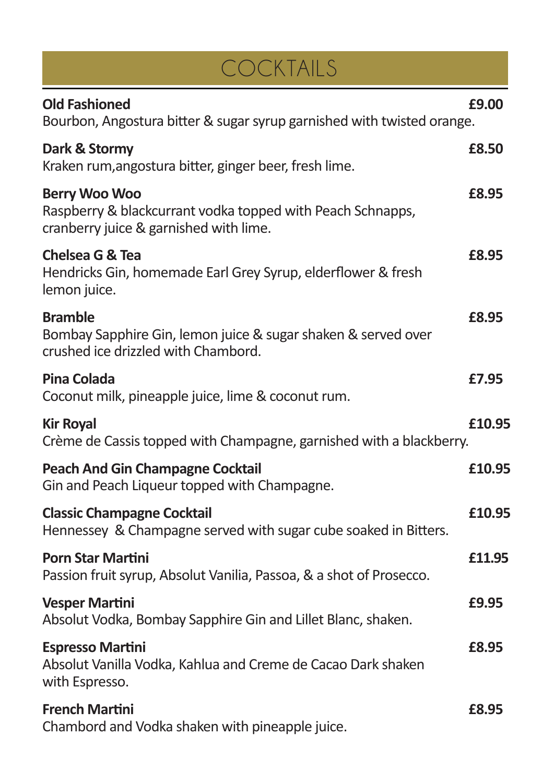| COCKTAILS                                                                                                                    |        |
|------------------------------------------------------------------------------------------------------------------------------|--------|
| <b>Old Fashioned</b><br>Bourbon, Angostura bitter & sugar syrup garnished with twisted orange.                               | £9.00  |
| Dark & Stormy<br>Kraken rum, angostura bitter, ginger beer, fresh lime.                                                      | £8.50  |
| <b>Berry Woo Woo</b><br>Raspberry & blackcurrant vodka topped with Peach Schnapps,<br>cranberry juice & garnished with lime. | £8.95  |
| <b>Chelsea G &amp; Tea</b><br>Hendricks Gin, homemade Earl Grey Syrup, elderflower & fresh<br>lemon juice.                   | £8.95  |
| <b>Bramble</b><br>Bombay Sapphire Gin, lemon juice & sugar shaken & served over<br>crushed ice drizzled with Chambord.       | £8.95  |
| <b>Pina Colada</b><br>Coconut milk, pineapple juice, lime & coconut rum.                                                     | £7.95  |
| <b>Kir Royal</b><br>Crème de Cassis topped with Champagne, garnished with a blackberry.                                      | £10.95 |
| <b>Peach And Gin Champagne Cocktail</b><br>Gin and Peach Liqueur topped with Champagne.                                      | £10.95 |
| <b>Classic Champagne Cocktail</b><br>Hennessey & Champagne served with sugar cube soaked in Bitters.                         | £10.95 |
| <b>Porn Star Martini</b><br>Passion fruit syrup, Absolut Vanilia, Passoa, & a shot of Prosecco.                              | £11.95 |
| <b>Vesper Martini</b><br>Absolut Vodka, Bombay Sapphire Gin and Lillet Blanc, shaken.                                        | £9.95  |
| <b>Espresso Martini</b><br>Absolut Vanilla Vodka, Kahlua and Creme de Cacao Dark shaken<br>with Espresso.                    | £8.95  |
| <b>French Martini</b><br>Chambord and Vodka shaken with pineapple juice.                                                     | £8.95  |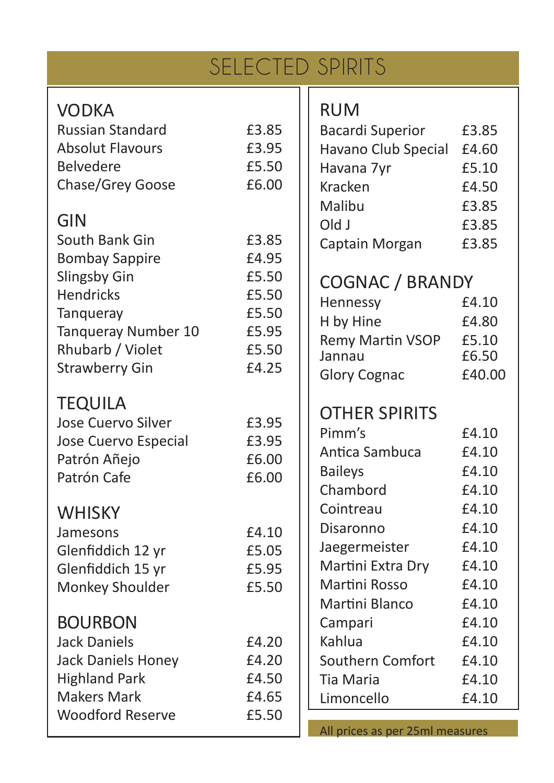|                                            | <b>SELECTED SPIRITS</b> |                                  |
|--------------------------------------------|-------------------------|----------------------------------|
| <b>VODKA</b>                               |                         | <b>RUM</b>                       |
| <b>Russian Standard</b>                    | £3.85                   | <b>Bacardi Superior</b><br>£3.85 |
| <b>Absolut Flavours</b>                    | £3.95                   | Havano Club Special<br>£4.60     |
| <b>Belvedere</b>                           | £5.50                   | Havana 7yr<br>£5.10              |
| Chase/Grey Goose                           | £6.00                   | Kracken<br>£4.50                 |
|                                            |                         | Malibu<br>£3.85                  |
| <b>GIN</b>                                 |                         | Old J<br>£3.85                   |
| South Bank Gin                             | £3.85                   | £3.85<br>Captain Morgan          |
| <b>Bombay Sappire</b>                      | £4.95                   |                                  |
| Slingsby Gin                               | £5.50                   | <b>COGNAC / BRANDY</b>           |
| <b>Hendricks</b>                           | £5.50                   | Hennessy<br>£4.10                |
| Tanqueray                                  | £5.50                   | H by Hine<br>£4.80               |
| Tanqueray Number 10<br>Rhubarb / Violet    | £5.95<br>£5.50          | Remy Martin VSOP<br>£5.10        |
| <b>Strawberry Gin</b>                      | £4.25                   | £6.50<br>Jannau                  |
|                                            |                         | <b>Glory Cognac</b><br>£40.00    |
| <b>TEQUILA</b>                             |                         |                                  |
| Jose Cuervo Silver                         | £3.95                   | <b>OTHER SPIRITS</b>             |
| Jose Cuervo Especial                       | £3.95                   | Pimm's<br>£4.10                  |
| Patrón Añejo                               | £6.00                   | Antica Sambuca<br>£4.10          |
| Patrón Cafe                                | £6.00                   | <b>Baileys</b><br>£4.10          |
|                                            |                         | Chambord<br>£4.10                |
| <b>WHISKY</b>                              |                         | £4.10<br>Cointreau               |
| Jamesons                                   | £4.10                   | £4.10<br>Disaronno               |
| Glenfiddich 12 yr                          | £5.05                   | £4.10<br>Jaegermeister           |
| Glenfiddich 15 yr                          | £5.95                   | Martini Extra Dry<br>£4.10       |
| Monkey Shoulder                            | £5.50                   | Martini Rosso<br>£4.10           |
|                                            |                         | Martini Blanco<br>£4.10          |
| <b>BOURBON</b>                             |                         | £4.10<br>Campari                 |
| <b>Jack Daniels</b>                        | £4.20                   | Kahlua<br>£4.10                  |
| <b>Jack Daniels Honey</b>                  | £4.20                   | Southern Comfort<br>£4.10        |
| <b>Highland Park</b><br><b>Makers Mark</b> | £4.50<br>£4.65          | <b>Tia Maria</b><br>£4.10        |
| <b>Woodford Reserve</b>                    | £5.50                   | Limoncello<br>£4.10              |
|                                            |                         | All prices as per 25ml measures  |